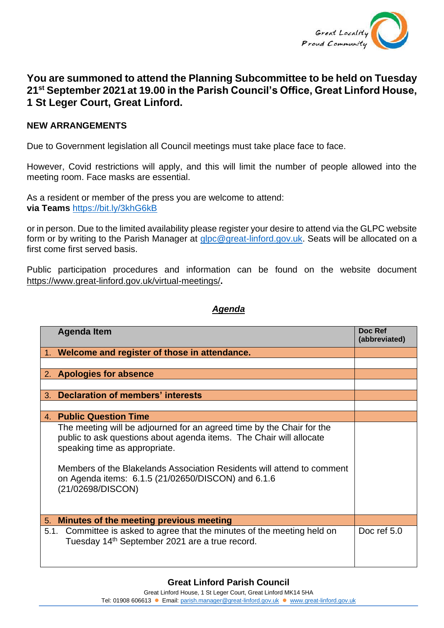

## **You are summoned to attend the Planning Subcommittee to be held on Tuesday 21st September 2021at 19.00 in the Parish Council's Office, Great Linford House, 1 St Leger Court, Great Linford.**

## **NEW ARRANGEMENTS**

Due to Government legislation all Council meetings must take place face to face.

However, Covid restrictions will apply, and this will limit the number of people allowed into the meeting room. Face masks are essential.

As a resident or member of the press you are welcome to attend: **via Teams** <https://bit.ly/3khG6kB>

or in person. Due to the limited availability please register your desire to attend via the GLPC website form or by writing to the Parish Manager at [glpc@great-linford.gov.uk.](mailto:glpc@great-linford.gov.uk) Seats will be allocated on a first come first served basis.

Public participation procedures and information can be found on the website document <https://www.great-linford.gov.uk/virtual-meetings/>**.**

## *Agenda*

|         | <b>Agenda Item</b>                                                                                                                                                                                                                                                                                                                 | Doc Ref<br>(abbreviated) |
|---------|------------------------------------------------------------------------------------------------------------------------------------------------------------------------------------------------------------------------------------------------------------------------------------------------------------------------------------|--------------------------|
|         | Welcome and register of those in attendance.                                                                                                                                                                                                                                                                                       |                          |
|         |                                                                                                                                                                                                                                                                                                                                    |                          |
|         | 2. Apologies for absence                                                                                                                                                                                                                                                                                                           |                          |
|         |                                                                                                                                                                                                                                                                                                                                    |                          |
| $3_{-}$ | <b>Declaration of members' interests</b>                                                                                                                                                                                                                                                                                           |                          |
|         |                                                                                                                                                                                                                                                                                                                                    |                          |
|         | 4. Public Question Time                                                                                                                                                                                                                                                                                                            |                          |
|         | The meeting will be adjourned for an agreed time by the Chair for the<br>public to ask questions about agenda items. The Chair will allocate<br>speaking time as appropriate.<br>Members of the Blakelands Association Residents will attend to comment<br>on Agenda items: 6.1.5 (21/02650/DISCON) and 6.1.6<br>(21/02698/DISCON) |                          |
| 5.      | Minutes of the meeting previous meeting                                                                                                                                                                                                                                                                                            |                          |
| 5.1.    | Committee is asked to agree that the minutes of the meeting held on<br>Tuesday 14 <sup>th</sup> September 2021 are a true record.                                                                                                                                                                                                  | Doc ref 5.0              |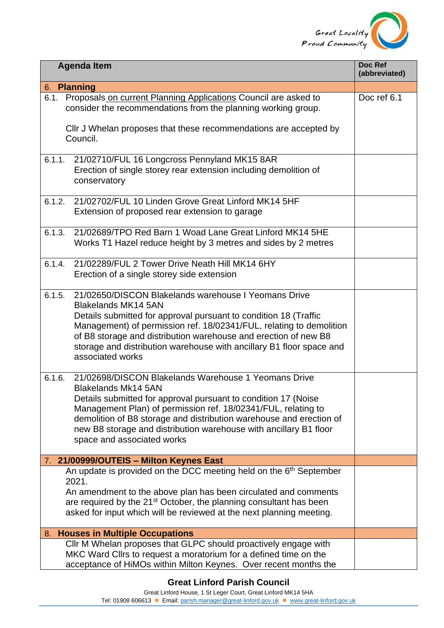

| Doc Ref<br><b>Agenda Item</b><br>(abbreviated) |                                                                                                                                                                                                                                                                                                                                                                                              |             |  |  |
|------------------------------------------------|----------------------------------------------------------------------------------------------------------------------------------------------------------------------------------------------------------------------------------------------------------------------------------------------------------------------------------------------------------------------------------------------|-------------|--|--|
| 6. Planning                                    |                                                                                                                                                                                                                                                                                                                                                                                              |             |  |  |
| 6.1.                                           | Proposals on current Planning Applications Council are asked to<br>consider the recommendations from the planning working group.<br>CIIr J Whelan proposes that these recommendations are accepted by<br>Council.                                                                                                                                                                            | Doc ref 6.1 |  |  |
| 6.1.1.                                         | 21/02710/FUL 16 Longcross Pennyland MK15 8AR<br>Erection of single storey rear extension including demolition of<br>conservatory                                                                                                                                                                                                                                                             |             |  |  |
| 6.1.2.                                         | 21/02702/FUL 10 Linden Grove Great Linford MK14 5HF<br>Extension of proposed rear extension to garage                                                                                                                                                                                                                                                                                        |             |  |  |
| 6.1.3.                                         | 21/02689/TPO Red Barn 1 Woad Lane Great Linford MK14 5HE<br>Works T1 Hazel reduce height by 3 metres and sides by 2 metres                                                                                                                                                                                                                                                                   |             |  |  |
| 6.1.4.                                         | 21/02289/FUL 2 Tower Drive Neath Hill MK14 6HY<br>Erection of a single storey side extension                                                                                                                                                                                                                                                                                                 |             |  |  |
| 6.1.5.                                         | 21/02650/DISCON Blakelands warehouse I Yeomans Drive<br><b>Blakelands MK14 5AN</b><br>Details submitted for approval pursuant to condition 18 (Traffic<br>Management) of permission ref. 18/02341/FUL, relating to demolition<br>of B8 storage and distribution warehouse and erection of new B8<br>storage and distribution warehouse with ancillary B1 floor space and<br>associated works |             |  |  |
| 6.1.6.                                         | 21/02698/DISCON Blakelands Warehouse 1 Yeomans Drive<br>Blakelands Mk14 5AN<br>Details submitted for approval pursuant to condition 17 (Noise<br>Management Plan) of permission ref. 18/02341/FUL, relating to<br>demolition of B8 storage and distribution warehouse and erection of<br>new B8 storage and distribution warehouse with ancillary B1 floor<br>space and associated works     |             |  |  |
|                                                | 7. 21/00999/OUTEIS - Milton Keynes East                                                                                                                                                                                                                                                                                                                                                      |             |  |  |
|                                                | An update is provided on the DCC meeting held on the 6 <sup>th</sup> September<br>2021.<br>An amendment to the above plan has been circulated and comments<br>are required by the 21 <sup>st</sup> October, the planning consultant has been<br>asked for input which will be reviewed at the next planning meeting.                                                                         |             |  |  |
| 8.                                             | <b>Houses in Multiple Occupations</b>                                                                                                                                                                                                                                                                                                                                                        |             |  |  |
|                                                | CIIr M Whelan proposes that GLPC should proactively engage with<br>MKC Ward Clirs to request a moratorium for a defined time on the<br>acceptance of HiMOs within Milton Keynes. Over recent months the                                                                                                                                                                                      |             |  |  |

Tel: 01908 606613 ⚫ Email: [parish.manager@great-linford.gov.uk](mailto:parish.manager@great-linford.gov.uk) ⚫ [www.great-linford.gov.uk](http://www.great-linford.gov.uk/)